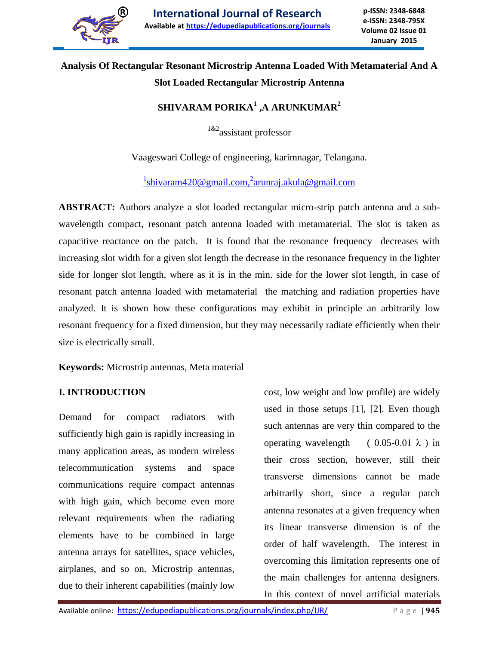

# **Analysis Of Rectangular Resonant Microstrip Antenna Loaded With Metamaterial And A Slot Loaded Rectangular Microstrip Antenna**

## **SHIVARAM PORIKA<sup>1</sup> ,A ARUNKUMAR<sup>2</sup>**

<sup>1&2</sup>assistant professor

Vaageswari College of engineering, karimnagar, Telangana.

<sup>1</sup>shivaram420@gmail.com,<sup>2</sup>arunraj.akula@gmail.com

**ABSTRACT:** Authors analyze a slot loaded rectangular micro-strip patch antenna and a subwavelength compact, resonant patch antenna loaded with metamaterial. The slot is taken as capacitive reactance on the patch. It is found that the resonance frequency decreases with increasing slot width for a given slot length the decrease in the resonance frequency in the lighter side for longer slot length, where as it is in the min. side for the lower slot length, in case of resonant patch antenna loaded with metamaterial the matching and radiation properties have analyzed. It is shown how these configurations may exhibit in principle an arbitrarily low resonant frequency for a fixed dimension, but they may necessarily radiate efficiently when their size is electrically small.

**Keywords:** Microstrip antennas, Meta material

### **I. INTRODUCTION**

Demand for compact radiators with sufficiently high gain is rapidly increasing in many application areas, as modern wireless telecommunication systems and space communications require compact antennas with high gain, which become even more relevant requirements when the radiating elements have to be combined in large antenna arrays for satellites, space vehicles, airplanes, and so on. Microstrip antennas, due to their inherent capabilities (mainly low

cost, low weight and low profile) are widely used in those setups [1], [2]. Even though such antennas are very thin compared to the operating wavelength  $(0.05-0.01 \lambda)$  in their cross section, however, still their transverse dimensions cannot be made arbitrarily short, since a regular patch antenna resonates at a given frequency when its linear transverse dimension is of the order of half wavelength. The interest in overcoming this limitation represents one of the main challenges for antenna designers.

In this context of novel artificial materials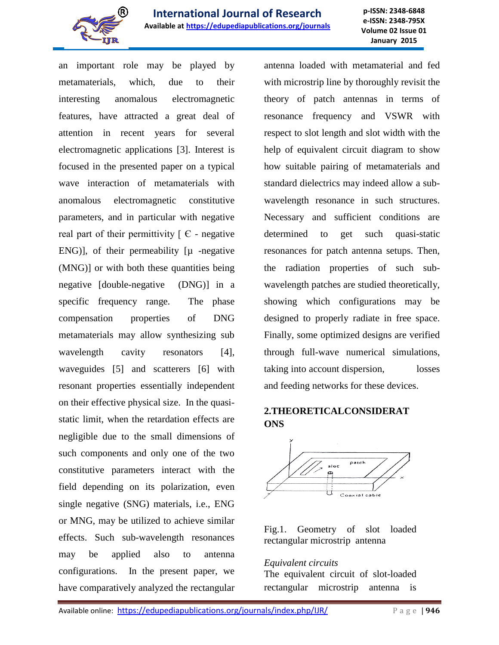

an important role may be played by metamaterials, which, due to their interesting anomalous electromagnetic features, have attracted a great deal of attention in recent years for several electromagnetic applications [3]. Interest is focused in the presented paper on a typical wave interaction of metamaterials with anomalous electromagnetic constitutive parameters, and in particular with negative real part of their permittivity  $\lceil \theta \rceil$  - negative ENG)], of their permeability  $[\mu$  -negative (MNG)] or with both these quantities being negative [double-negative (DNG)] in a specific frequency range. The phase compensation properties of DNG metamaterials may allow synthesizing sub wavelength cavity resonators [4], waveguides [5] and scatterers [6] with resonant properties essentially independent on their effective physical size. In the quasistatic limit, when the retardation effects are negligible due to the small dimensions of such components and only one of the two constitutive parameters interact with the field depending on its polarization, even single negative (SNG) materials, i.e., ENG or MNG, may be utilized to achieve similar effects. Such sub-wavelength resonances may be applied also to antenna configurations. In the present paper, we have comparatively analyzed the rectangular

antenna loaded with metamaterial and fed with microstrip line by thoroughly revisit the theory of patch antennas in terms of resonance frequency and VSWR with respect to slot length and slot width with the help of equivalent circuit diagram to show how suitable pairing of metamaterials and standard dielectrics may indeed allow a subwavelength resonance in such structures. Necessary and sufficient conditions are determined to get such quasi-static resonances for patch antenna setups. Then, the radiation properties of such subwavelength patches are studied theoretically, showing which configurations may be designed to properly radiate in free space. Finally, some optimized designs are verified through full-wave numerical simulations, taking into account dispersion, losses and feeding networks for these devices.

### **2.THEORETICALCONSIDERAT ONS**



### Fig.1. Geometry of slot loaded rectangular microstrip antenna

### *Equivalent circuits*

The equivalent circuit of slot-loaded rectangular microstrip antenna is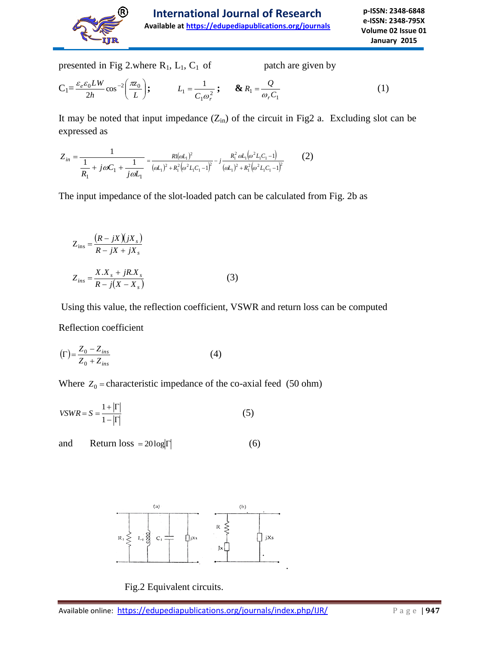

**p-ISSN: 2348-6848 e-ISSN: 2348-795X Volume 02 Issue 01 January 2015**

presented in Fig 2.where  $R_1$ ,  $L_1$ ,  $C_1$  of patch are given by

$$
C_1 = \frac{\varepsilon_e \varepsilon_0 L W}{2h} \cos^{-2} \left( \frac{\pi z_0}{L} \right); \qquad L_1 = \frac{1}{C_1 \omega_r^2}; \qquad \& R_1 = \frac{Q}{\omega_r C_1} \tag{1}
$$

It may be noted that input impedance  $(Z_{in})$  of the circuit in Fig2 a. Excluding slot can be expressed as

$$
Z_{in} = \frac{1}{\frac{1}{R_1} + j\omega C_1 + \frac{1}{j\omega L_1}} = \frac{Rl(\omega L_1)^2}{(\omega L_1)^2 + R_1^2(\omega^2 L_1 C_1 - 1)^2} - j\frac{R_1^2 \omega L_1(\omega^2 L_1 C_1 - 1)}{(\omega L_1)^2 + R_1^2(\omega^2 L_1 C_1 - 1)^2}
$$
(2)

The input impedance of the slot-loaded patch can be calculated from Fig. 2b as

$$
Z_{\text{ins}} = \frac{\left(R - jX\right)\left(jX_s\right)}{R - jX + jX_s}
$$

$$
Z_{\text{ins}} = \frac{X.X_s + jR.X_s}{R - j(X - X_s)}
$$
(3)

Using this value, the reflection coefficient, VSWR and return loss can be computed

Reflection coefficient

$$
\left(\Gamma\right) = \frac{Z_0 - Z_{ins}}{Z_0 + Z_{ins}}\tag{4}
$$

Where  $Z_0$  = characteristic impedance of the co-axial feed (50 ohm)

$$
VSWR = S = \frac{1 + |\Gamma|}{1 - |\Gamma|} \tag{5}
$$

and Return loss =  $20\log|\Gamma|$  (6)



Fig.2 Equivalent circuits.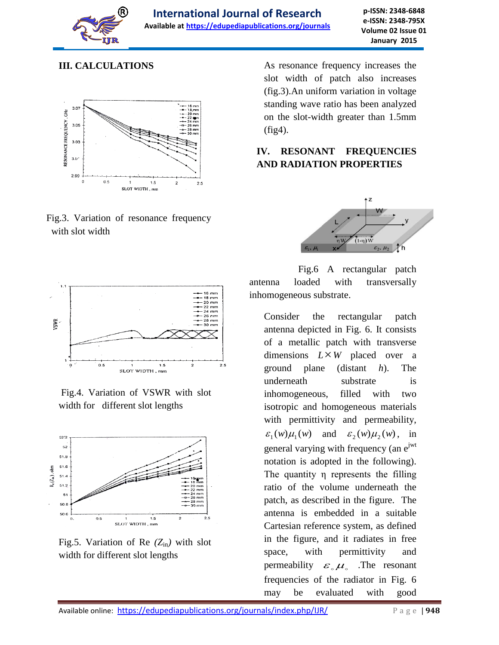

### **III. CALCULATIONS**



Fig.3. Variation of resonance frequency with slot width

As resonance frequency increases the slot width of patch also increases (fig.3).An uniform variation in voltage standing wave ratio has been analyzed on the slot-width greater than 1.5mm (fig4).

### **IV. RESONANT FREQUENCIES AND RADIATION PROPERTIES**





Consider the rectangular patch antenna depicted in Fig. 6. It consists of a metallic patch with transverse dimensions  $L \times W$  placed over a ground plane (distant *h*). The underneath substrate is inhomogeneous, filled with two isotropic and homogeneous materials with permittivity and permeability,  $\varepsilon_1(w)\mu_1(w)$  and  $\varepsilon_2(w)\mu_2(w)$ , in general varying with frequency (an  $e^{jwt}$ notation is adopted in the following). The quantity η represents the filling ratio of the volume underneath the patch, as described in the figure. The antenna is embedded in a suitable Cartesian reference system, as defined in the figure, and it radiates in free space, with permittivity and permeability  $\varepsilon_{\circ}\mu_{\circ}$  . The resonant frequencies of the radiator in Fig. 6 may be evaluated with good



Fig.4. Variation of VSWR with slot width for different slot lengths



Fig.5. Variation of Re  $(Z_{in})$  with slot width for different slot lengths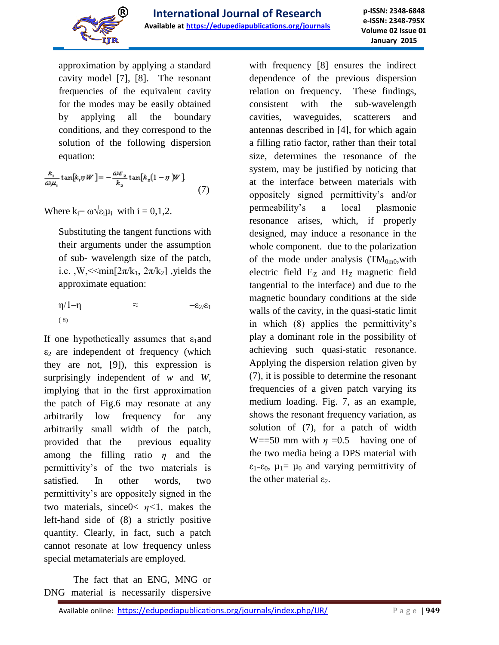

approximation by applying a standard cavity model [7], [8]. The resonant frequencies of the equivalent cavity for the modes may be easily obtained by applying all the boundary conditions, and they correspond to the solution of the following dispersion equation:

$$
\frac{k_1}{\omega \mu_1} \tan[k_1 \eta W] = -\frac{\omega \varepsilon_2}{k_2} \tan[k_2(1-\eta) W] \tag{7}
$$

Where  $k_i = \omega \sqrt{\epsilon_i \mu_i}$  with  $i = 0, 1, 2$ .

Substituting the tangent functions with their arguments under the assumption of sub- wavelength size of the patch, i.e. ,W,  $\leq$ min $[2\pi/k_1, 2\pi/k_2]$ , yields the approximate equation:

 $η/1-η$   $\approx$   $-ε_2/ε_1$ ( 8)

If one hypothetically assumes that  $\varepsilon_1$  and  $\varepsilon_2$  are independent of frequency (which they are not, [9]), this expression is surprisingly independent of *w* and *W*, implying that in the first approximation the patch of Fig.6 may resonate at any arbitrarily low frequency for any arbitrarily small width of the patch, provided that the previous equality among the filling ratio *η* and the permittivity's of the two materials is satisfied. In other words, two permittivity's are oppositely signed in the two materials, since0< *η<*1, makes the left-hand side of (8) a strictly positive quantity. Clearly, in fact, such a patch cannot resonate at low frequency unless special metamaterials are employed.

 The fact that an ENG, MNG or DNG material is necessarily dispersive with frequency [8] ensures the indirect dependence of the previous dispersion relation on frequency. These findings, consistent with the sub-wavelength cavities, waveguides, scatterers and antennas described in [4], for which again a filling ratio factor, rather than their total size, determines the resonance of the system, may be justified by noticing that at the interface between materials with oppositely signed permittivity's and/or permeability's a local plasmonic resonance arises, which, if properly designed, may induce a resonance in the whole component. due to the polarization of the mode under analysis  $(TM_{0m0}, with$ electric field  $E<sub>Z</sub>$  and  $H<sub>Z</sub>$  magnetic field tangential to the interface) and due to the magnetic boundary conditions at the side walls of the cavity, in the quasi-static limit in which (8) applies the permittivity's play a dominant role in the possibility of achieving such quasi-static resonance. Applying the dispersion relation given by (7), it is possible to determine the resonant frequencies of a given patch varying its medium loading. Fig. 7, as an example, shows the resonant frequency variation, as solution of (7), for a patch of width W==50 mm with  $\eta$  =0.5 having one of the two media being a DPS material with  $\varepsilon_{1}=\varepsilon_{0}$ ,  $\mu_{1}=\mu_{0}$  and varying permittivity of the other material  $\varepsilon_2$ .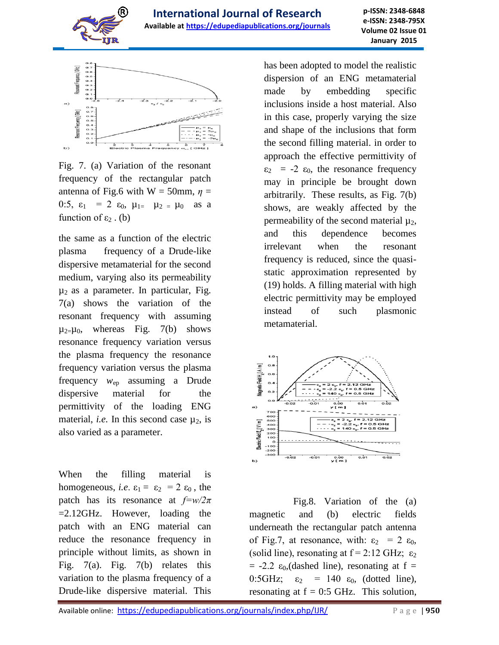



Fig. 7. (a) Variation of the resonant frequency of the rectangular patch antenna of Fig.6 with W = 50mm,  $\eta$  = 0:5,  $\varepsilon_1$  = 2  $\varepsilon_0$ ,  $\mu_{1}$   $\mu_2$   $\mu_0$  as a function of  $\varepsilon_2$ . (b)

the same as a function of the electric plasma frequency of a Drude-like dispersive metamaterial for the second medium, varying also its permeability  $\mu_2$  as a parameter. In particular, Fig. 7(a) shows the variation of the resonant frequency with assuming  $\mu_{2} = \mu_0$ , whereas Fig. 7(b) shows resonance frequency variation versus the plasma frequency the resonance frequency variation versus the plasma frequency *w*ep assuming a Drude dispersive material for the permittivity of the loading ENG material, *i.e.* In this second case  $\mu_2$ , is also varied as a parameter.

When the filling material is homogeneous, *i.e.*  $\varepsilon_1 = \varepsilon_2 = 2 \varepsilon_0$ , the patch has its resonance at *f=w/2π*  =2.12GHz. However, loading the patch with an ENG material can reduce the resonance frequency in principle without limits, as shown in Fig. 7(a). Fig. 7(b) relates this variation to the plasma frequency of a Drude-like dispersive material. This has been adopted to model the realistic dispersion of an ENG metamaterial made by embedding specific inclusions inside a host material. Also in this case, properly varying the size and shape of the inclusions that form the second filling material. in order to approach the effective permittivity of  $\varepsilon_2$  = -2  $\varepsilon_0$ , the resonance frequency may in principle be brought down arbitrarily. These results, as Fig. 7(b) shows, are weakly affected by the permeability of the second material  $\mu_2$ , and this dependence becomes irrelevant when the resonant frequency is reduced, since the quasistatic approximation represented by (19) holds. A filling material with high electric permittivity may be employed instead of such plasmonic metamaterial.



Fig.8. Variation of the (a) magnetic and (b) electric fields underneath the rectangular patch antenna of Fig.7, at resonance, with:  $\varepsilon_2 = 2 \varepsilon_0$ , (solid line), resonating at  $f = 2:12$  GHz;  $\varepsilon_2$  $= -2.2$   $\varepsilon_0$ , (dashed line), resonating at f = 0:5GHz;  $\varepsilon_2$  = 140  $\varepsilon_0$ , (dotted line), resonating at  $f = 0.5$  GHz. This solution,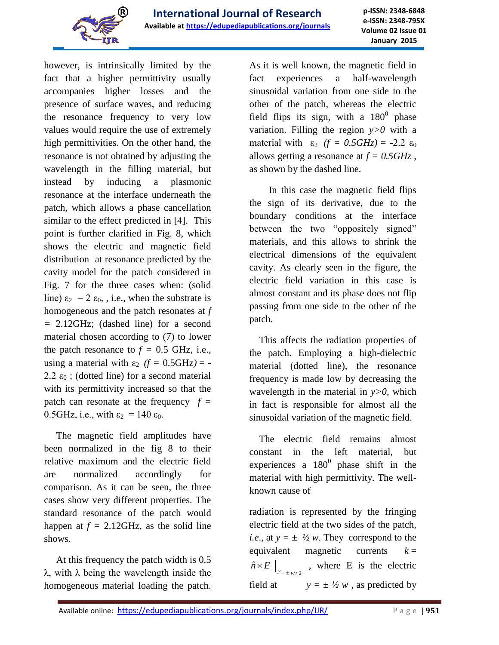

however, is intrinsically limited by the fact that a higher permittivity usually accompanies higher losses and the presence of surface waves, and reducing the resonance frequency to very low values would require the use of extremely high permittivities. On the other hand, the resonance is not obtained by adjusting the wavelength in the filling material, but instead by inducing a plasmonic resonance at the interface underneath the patch, which allows a phase cancellation similar to the effect predicted in [4]. This point is further clarified in Fig. 8, which shows the electric and magnetic field distribution at resonance predicted by the cavity model for the patch considered in Fig. 7 for the three cases when: (solid line)  $\varepsilon_2 = 2 \varepsilon_0$ , i.e., when the substrate is homogeneous and the patch resonates at *f =* 2.12GHz; (dashed line) for a second material chosen according to (7) to lower the patch resonance to  $f = 0.5$  GHz, i.e., using a material with  $\varepsilon_2$  *(f = 0.5GHz) = -*2.2  $\varepsilon_0$ ; (dotted line) for a second material with its permittivity increased so that the patch can resonate at the frequency  $f =$ 0.5GHz, i.e., with  $\varepsilon_2 = 140 \varepsilon_0$ .

 The magnetic field amplitudes have been normalized in the fig 8 to their relative maximum and the electric field are normalized accordingly for comparison. As it can be seen, the three cases show very different properties. The standard resonance of the patch would happen at  $f = 2.12 \text{GHz}$ , as the solid line shows.

 At this frequency the patch width is 0.5 λ, with λ being the wavelength inside the homogeneous material loading the patch.

As it is well known, the magnetic field in fact experiences a half-wavelength sinusoidal variation from one side to the other of the patch, whereas the electric field flips its sign, with a  $180^0$  phase variation. Filling the region *y>0* with a material with  $\varepsilon_2$   $(f = 0.5GHz) = -2.2 \varepsilon_0$ allows getting a resonance at *f = 0.5GHz* , as shown by the dashed line.

 In this case the magnetic field flips the sign of its derivative, due to the boundary conditions at the interface between the two "oppositely signed" materials, and this allows to shrink the electrical dimensions of the equivalent cavity. As clearly seen in the figure, the electric field variation in this case is almost constant and its phase does not flip passing from one side to the other of the patch.

 This affects the radiation properties of the patch. Employing a high-dielectric material (dotted line), the resonance frequency is made low by decreasing the wavelength in the material in *y>0*, which in fact is responsible for almost all the sinusoidal variation of the magnetic field.

 The electric field remains almost constant in the left material, but experiences a  $180^{\circ}$  phase shift in the material with high permittivity. The wellknown cause of

radiation is represented by the fringing electric field at the two sides of the patch, *i.e.*, at  $y = \pm \frac{1}{2}w$ . They correspond to the equivalent magnetic currents  $k =$  $\left. \hat{n} \times E \right|_{y=\pm \frac{w}{2}}$ , where E is the electric field at  $y = \pm \frac{1}{2} w$ , as predicted by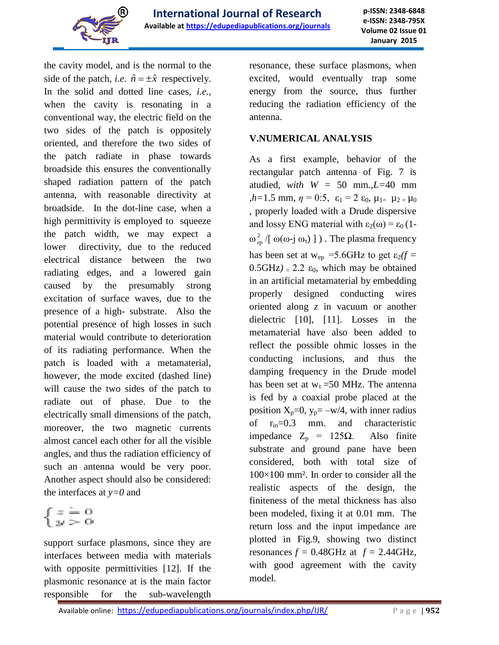

the cavity model, and is the normal to the side of the patch, *i.e.*  $\hat{n} = \pm \hat{x}$  respectively. In the solid and dotted line cases, *i.e.,* when the cavity is resonating in a conventional way, the electric field on the two sides of the patch is oppositely oriented, and therefore the two sides of the patch radiate in phase towards broadside this ensures the conventionally shaped radiation pattern of the patch antenna, with reasonable directivity at broadside. In the dot-line case, when a high permittivity is employed to squeeze the patch width, we may expect a lower directivity, due to the reduced electrical distance between the two radiating edges, and a lowered gain caused by the presumably strong excitation of surface waves, due to the presence of a high- substrate. Also the potential presence of high losses in such material would contribute to deterioration of its radiating performance. When the patch is loaded with a metamaterial, however, the mode excited (dashed line) will cause the two sides of the patch to radiate out of phase. Due to the electrically small dimensions of the patch, moreover, the two magnetic currents almost cancel each other for all the visible angles, and thus the radiation efficiency of such an antenna would be very poor. Another aspect should also be considered: the interfaces at *y=0* and

 $\begin{cases} z = 0 \\ y > 0 \end{cases}$ 

support surface plasmons, since they are interfaces between media with materials with opposite permittivities [12]. If the plasmonic resonance at is the main factor responsible for the sub-wavelength

resonance, these surface plasmons, when excited, would eventually trap some energy from the source, thus further reducing the radiation efficiency of the antenna.

#### **V.NUMERICAL ANALYSIS**

As a first example, behavior of the rectangular patch antenna of Fig. 7 is atudied, *with W =* 50 mm*.,L=*40 mm  $h=1.5$  mm,  $\eta=0.5$ ,  $\varepsilon_1=2$   $\varepsilon_0$ ,  $\mu_{1}=\mu_2=\mu_0$ , properly loaded with a Drude dispersive and lossy ENG material with  $\varepsilon_2(\omega) = \varepsilon_0 (1 \omega_{\scriptscriptstyle e}^{\scriptscriptstyle 2}$  $\frac{2}{\epsilon_p}$  /[ ω(ω-j ω<sub>τ</sub>) ] ). The plasma frequency has been set at  $w_{ep} = 5.6$ GHz to get  $\varepsilon_2(f =$  $0.5$ GHz $) \approx 2.2$   $\varepsilon_0$ , which may be obtained in an artificial metamaterial by embedding properly designed conducting wires oriented along *z* in vacuum or another dielectric [10], [11]. Losses in the metamaterial have also been added to reflect the possible ohmic losses in the conducting inclusions, and thus the damping frequency in the Drude model has been set at  $w_t = 50$  MHz. The antenna is fed by a coaxial probe placed at the position  $X_p=0$ ,  $y_p=-w/4$ , with inner radius of rin=0.3 mm. and characteristic impedance  $Z_p = 125Ω$ . Also finite substrate and ground pane have been considered, both with total size of 100×100 mm². In order to consider all the realistic aspects of the design, the finiteness of the metal thickness has also been modeled, fixing it at 0.01 mm. The return loss and the input impedance are plotted in Fig.9, showing two distinct resonances  $f = 0.48$ GHz at  $f = 2.44$ GHz, with good agreement with the cavity model.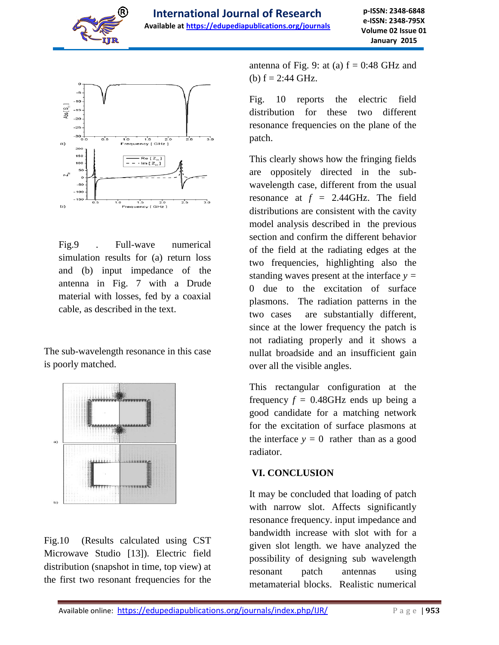



Fig.9 . Full-wave numerical simulation results for (a) return loss and (b) input impedance of the antenna in Fig. 7 with a Drude material with losses, fed by a coaxial cable, as described in the text.

The sub-wavelength resonance in this case is poorly matched.



Fig.10 (Results calculated using CST Microwave Studio [13]). Electric field distribution (snapshot in time, top view) at the first two resonant frequencies for the antenna of Fig. 9: at (a)  $f = 0:48$  GHz and (b)  $f = 2:44$  GHz.

Fig. 10 reports the electric field distribution for these two different resonance frequencies on the plane of the patch.

This clearly shows how the fringing fields are oppositely directed in the subwavelength case, different from the usual resonance at  $f = 2.44$ GHz. The field distributions are consistent with the cavity model analysis described in the previous section and confirm the different behavior of the field at the radiating edges at the two frequencies, highlighting also the standing waves present at the interface  $y =$ 0 due to the excitation of surface plasmons. The radiation patterns in the two cases are substantially different, since at the lower frequency the patch is not radiating properly and it shows a nullat broadside and an insufficient gain over all the visible angles.

This rectangular configuration at the frequency  $f = 0.48$ GHz ends up being a good candidate for a matching network for the excitation of surface plasmons at the interface  $y = 0$  rather than as a good radiator.

### **VI. CONCLUSION**

It may be concluded that loading of patch with narrow slot. Affects significantly resonance frequency. input impedance and bandwidth increase with slot with for a given slot length. we have analyzed the possibility of designing sub wavelength resonant patch antennas using metamaterial blocks. Realistic numerical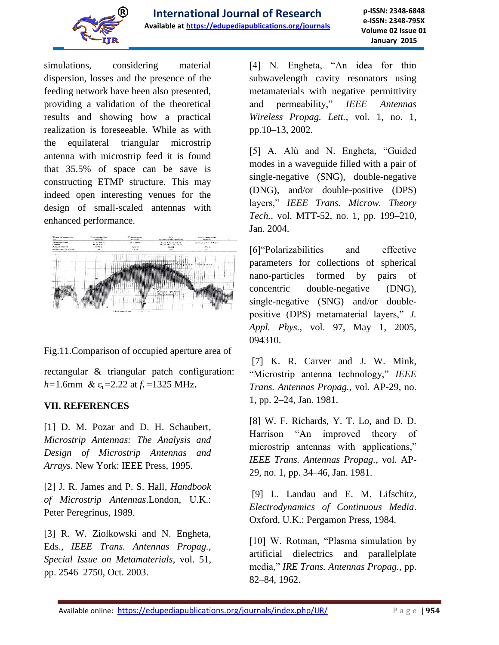

simulations, considering material dispersion, losses and the presence of the feeding network have been also presented, providing a validation of the theoretical results and showing how a practical realization is foreseeable. While as with the equilateral triangular microstrip antenna with microstrip feed it is found that 35.5% of space can be save is constructing ETMP structure. This may indeed open interesting venues for the design of small-scaled antennas with enhanced performance.



Fig.11.Comparison of occupied aperture area of

rectangular & triangular patch configuration:  $h=1.6$ mm &  $\varepsilon_r = 2.22$  at  $f_r = 1325$  MHz.

### **VII. REFERENCES**

[1] D. M. Pozar and D. H. Schaubert*, Microstrip Antennas: The Analysis and Design of Microstrip Antennas and Arrays*. New York: IEEE Press, 1995.

[2] J. R. James and P. S. Hall*, Handbook of Microstrip Antennas*.London, U.K.: Peter Peregrinus, 1989.

[3] R. W. Ziolkowski and N. Engheta, Eds.*, IEEE Trans. Antennas Propag., Special Issue on Metamaterials*, vol. 51, pp. 2546–2750, Oct. 2003.

[4] N. Engheta, "An idea for thin subwavelength cavity resonators using metamaterials with negative permittivity and permeability," *IEEE Antennas Wireless Propag. Lett.*, vol. 1, no. 1, pp.10–13, 2002.

[5] A. Alù and N. Engheta, "Guided modes in a waveguide filled with a pair of single-negative (SNG), double-negative (DNG), and/or double-positive (DPS) layers," *IEEE Trans. Microw. Theory Tech.*, vol. MTT-52, no. 1, pp. 199–210, Jan. 2004.

[6]"Polarizabilities and effective parameters for collections of spherical nano-particles formed by pairs of concentric double-negative (DNG), single-negative (SNG) and/or doublepositive (DPS) metamaterial layers," *J. Appl. Phys.*, vol. 97, May 1, 2005, 094310.

[7] K. R. Carver and J. W. Mink, "Microstrip antenna technology," *IEEE Trans. Antennas Propag.*, vol. AP-29, no. 1, pp. 2–24, Jan. 1981.

[8] W. F. Richards, Y. T. Lo, and D. D. Harrison "An improved theory of microstrip antennas with applications," *IEEE Trans. Antennas Propag.*, vol. AP-29, no. 1, pp. 34–46, Jan. 1981.

[9] L. Landau and E. M. Lifschitz*, Electrodynamics of Continuous Media*. Oxford, U.K.: Pergamon Press, 1984.

[10] W. Rotman, "Plasma simulation by artificial dielectrics and parallelplate media," *IRE Trans. Antennas Propag.*, pp. 82–84, 1962.